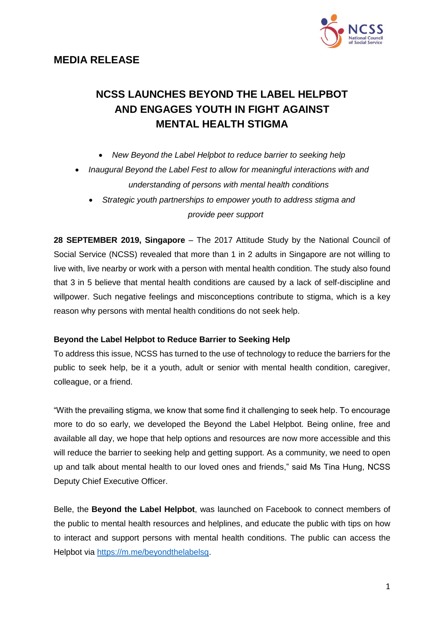



# **NCSS LAUNCHES BEYOND THE LABEL HELPBOT AND ENGAGES YOUTH IN FIGHT AGAINST MENTAL HEALTH STIGMA**

- *New Beyond the Label Helpbot to reduce barrier to seeking help*
- *Inaugural Beyond the Label Fest to allow for meaningful interactions with and understanding of persons with mental health conditions*
	- *Strategic youth partnerships to empower youth to address stigma and provide peer support*

**28 SEPTEMBER 2019, Singapore** – The 2017 Attitude Study by the National Council of Social Service (NCSS) revealed that more than 1 in 2 adults in Singapore are not willing to live with, live nearby or work with a person with mental health condition. The study also found that 3 in 5 believe that mental health conditions are caused by a lack of self-discipline and willpower. Such negative feelings and misconceptions contribute to stigma, which is a key reason why persons with mental health conditions do not seek help.

#### **Beyond the Label Helpbot to Reduce Barrier to Seeking Help**

To address this issue, NCSS has turned to the use of technology to reduce the barriers for the public to seek help, be it a youth, adult or senior with mental health condition, caregiver, colleague, or a friend.

"With the prevailing stigma, we know that some find it challenging to seek help. To encourage more to do so early, we developed the Beyond the Label Helpbot. Being online, free and available all day, we hope that help options and resources are now more accessible and this will reduce the barrier to seeking help and getting support. As a community, we need to open up and talk about mental health to our loved ones and friends," said Ms Tina Hung, NCSS Deputy Chief Executive Officer.

Belle, the **Beyond the Label Helpbot**, was launched on Facebook to connect members of the public to mental health resources and helplines, and educate the public with tips on how to interact and support persons with mental health conditions. The public can access the Helpbot via [https://m.me/beyondthelabelsg.](https://m.me/beyondthelabelsg)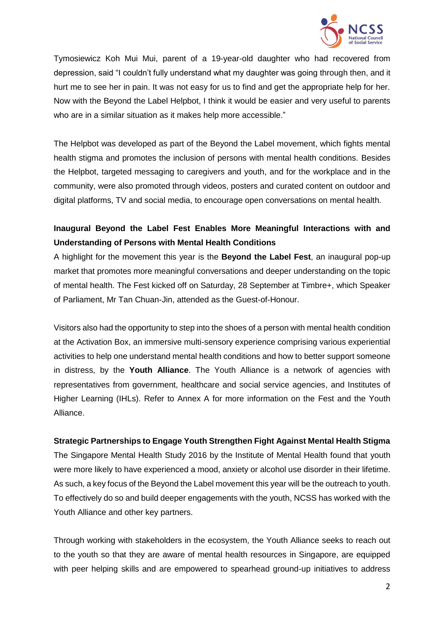

Tymosiewicz Koh Mui Mui, parent of a 19-year-old daughter who had recovered from depression, said "I couldn't fully understand what my daughter was going through then, and it hurt me to see her in pain. It was not easy for us to find and get the appropriate help for her. Now with the Beyond the Label Helpbot, I think it would be easier and very useful to parents who are in a similar situation as it makes help more accessible."

The Helpbot was developed as part of the Beyond the Label movement, which fights mental health stigma and promotes the inclusion of persons with mental health conditions. Besides the Helpbot, targeted messaging to caregivers and youth, and for the workplace and in the community, were also promoted through videos, posters and curated content on outdoor and digital platforms, TV and social media, to encourage open conversations on mental health.

# **Inaugural Beyond the Label Fest Enables More Meaningful Interactions with and Understanding of Persons with Mental Health Conditions**

A highlight for the movement this year is the **Beyond the Label Fest**, an inaugural pop-up market that promotes more meaningful conversations and deeper understanding on the topic of mental health. The Fest kicked off on Saturday, 28 September at Timbre+, which Speaker of Parliament, Mr Tan Chuan-Jin, attended as the Guest-of-Honour.

Visitors also had the opportunity to step into the shoes of a person with mental health condition at the Activation Box, an immersive multi-sensory experience comprising various experiential activities to help one understand mental health conditions and how to better support someone in distress, by the **Youth Alliance**. The Youth Alliance is a network of agencies with representatives from government, healthcare and social service agencies, and Institutes of Higher Learning (IHLs). Refer to Annex A for more information on the Fest and the Youth Alliance.

# **Strategic Partnerships to Engage Youth Strengthen Fight Against Mental Health Stigma**

The Singapore Mental Health Study 2016 by the Institute of Mental Health found that youth were more likely to have experienced a mood, anxiety or alcohol use disorder in their lifetime. As such, a key focus of the Beyond the Label movement this year will be the outreach to youth. To effectively do so and build deeper engagements with the youth, NCSS has worked with the Youth Alliance and other key partners.

Through working with stakeholders in the ecosystem, the Youth Alliance seeks to reach out to the youth so that they are aware of mental health resources in Singapore, are equipped with peer helping skills and are empowered to spearhead ground-up initiatives to address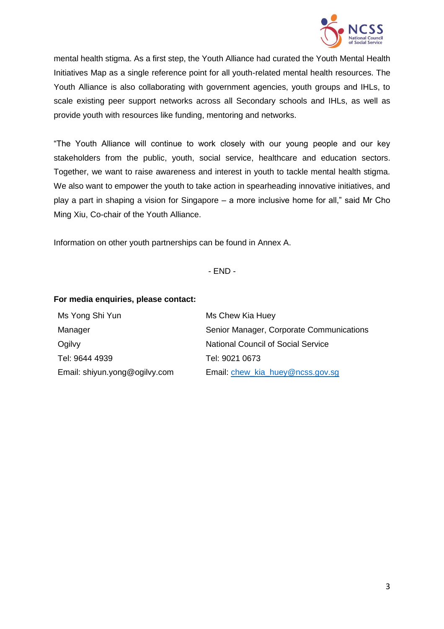

mental health stigma. As a first step, the Youth Alliance had curated the Youth Mental Health Initiatives Map as a single reference point for all youth-related mental health resources. The Youth Alliance is also collaborating with government agencies, youth groups and IHLs, to scale existing peer support networks across all Secondary schools and IHLs, as well as provide youth with resources like funding, mentoring and networks.

"The Youth Alliance will continue to work closely with our young people and our key stakeholders from the public, youth, social service, healthcare and education sectors. Together, we want to raise awareness and interest in youth to tackle mental health stigma. We also want to empower the youth to take action in spearheading innovative initiatives, and play a part in shaping a vision for Singapore – a more inclusive home for all," said Mr Cho Ming Xiu, Co-chair of the Youth Alliance.

Information on other youth partnerships can be found in Annex A.

- END -

#### **For media enquiries, please contact:**

| Ms Yong Shi Yun               | Ms Chew Kia Huey                          |
|-------------------------------|-------------------------------------------|
| Manager                       | Senior Manager, Corporate Communications  |
| Ogilvy                        | <b>National Council of Social Service</b> |
| Tel: 9644 4939                | Tel: 9021 0673                            |
| Email: shiyun.yong@ogilvy.com | Email: chew_kia_huey@ncss.gov.sg          |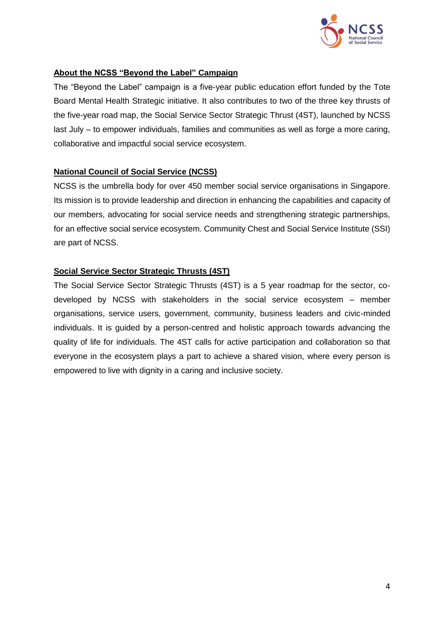

## **About the NCSS "Beyond the Label" Campaign**

The "Beyond the Label" campaign is a five-year public education effort funded by the Tote Board Mental Health Strategic initiative. It also contributes to two of the three key thrusts of the five-year road map, the Social Service Sector Strategic Thrust (4ST), launched by NCSS last July – to empower individuals, families and communities as well as forge a more caring, collaborative and impactful social service ecosystem.

## **National Council of Social Service (NCSS)**

NCSS is the umbrella body for over 450 member social service organisations in Singapore. Its mission is to provide leadership and direction in enhancing the capabilities and capacity of our members, advocating for social service needs and strengthening strategic partnerships, for an effective social service ecosystem. Community Chest and Social Service Institute (SSI) are part of NCSS.

# **Social Service Sector Strategic Thrusts (4ST)**

The Social Service Sector Strategic Thrusts (4ST) is a 5 year roadmap for the sector, codeveloped by NCSS with stakeholders in the social service ecosystem – member organisations, service users, government, community, business leaders and civic-minded individuals. It is guided by a person-centred and holistic approach towards advancing the quality of life for individuals. The 4ST calls for active participation and collaboration so that everyone in the ecosystem plays a part to achieve a shared vision, where every person is empowered to live with dignity in a caring and inclusive society.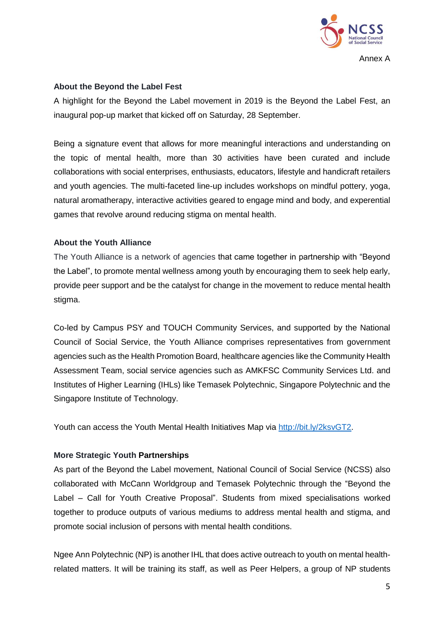

#### **About the Beyond the Label Fest**

A highlight for the Beyond the Label movement in 2019 is the Beyond the Label Fest, an inaugural pop-up market that kicked off on Saturday, 28 September.

Being a signature event that allows for more meaningful interactions and understanding on the topic of mental health, more than 30 activities have been curated and include collaborations with social enterprises, enthusiasts, educators, lifestyle and handicraft retailers and youth agencies. The multi-faceted line-up includes workshops on mindful pottery, yoga, natural aromatherapy, interactive activities geared to engage mind and body, and experential games that revolve around reducing stigma on mental health.

## **About the Youth Alliance**

The Youth Alliance is a network of agencies that came together in partnership with "Beyond the Label", to promote mental wellness among youth by encouraging them to seek help early, provide peer support and be the catalyst for change in the movement to reduce mental health stigma.

Co-led by Campus PSY and TOUCH Community Services, and supported by the National Council of Social Service, the Youth Alliance comprises representatives from government agencies such as the Health Promotion Board, healthcare agencies like the Community Health Assessment Team, social service agencies such as AMKFSC Community Services Ltd. and Institutes of Higher Learning (IHLs) like Temasek Polytechnic, Singapore Polytechnic and the Singapore Institute of Technology.

Youth can access the Youth Mental Health Initiatives Map via [http://bit.ly/2ksvGT2.](http://bit.ly/2ksvGT2)

#### **More Strategic Youth Partnerships**

As part of the Beyond the Label movement, National Council of Social Service (NCSS) also collaborated with McCann Worldgroup and Temasek Polytechnic through the "Beyond the Label – Call for Youth Creative Proposal". Students from mixed specialisations worked together to produce outputs of various mediums to address mental health and stigma, and promote social inclusion of persons with mental health conditions.

Ngee Ann Polytechnic (NP) is another IHL that does active outreach to youth on mental healthrelated matters. It will be training its staff, as well as Peer Helpers, a group of NP students